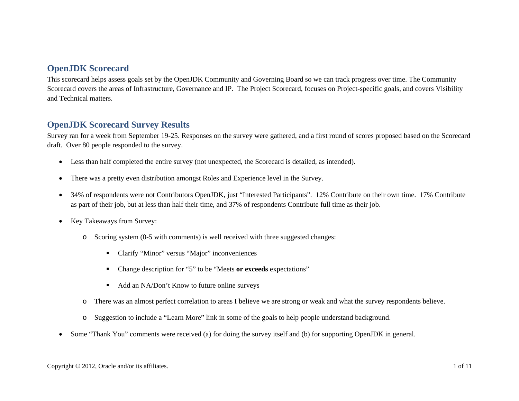#### **OpenJDK Scorecard**

This scorecard helps assess goals set by the OpenJDK Community and Governing Board so we can track progress over time. The Community Scorecard covers the areas of Infrastructure, Governance and IP. The Project Scorecard, focuses on Project-specific goals, and covers Visibility and Technical matters.

### **OpenJDK Scorecard Survey Results**

Survey ran for a week from September 19-25. Responses on the survey were gathered, and a first round of scores proposed based on the Scorecard draft. Over 80 people responded to the survey.

- $\bullet$ Less than half completed the entire survey (not unexpected, the Scorecard is detailed, as intended).
- •There was a pretty even distribution amongst Roles and Experience level in the Survey.
- • 34% of respondents were not Contributors OpenJDK, just "Interested Participants". 12% Contribute on their own time. 17% Contribute as part of their job, but at less than half their time, and 37% of respondents Contribute full time as their job.
- $\bullet$  Key Takeaways from Survey:
	- o Scoring system (0-5 with comments) is well received with three suggested changes:
		- Clarify "Minor" versus "Major" inconveniences
		- Change description for "5" to be "Meets **or exceeds** expectations"
		- Add an NA/Don't Know to future online surveys
	- oThere was an almost perfect correlation to areas I believe we are strong or weak and what the survey respondents believe.
	- oSuggestion to include a "Learn More" link in some of the goals to help people understand background.
- •Some "Thank You" comments were received (a) for doing the survey itself and (b) for supporting OpenJDK in general.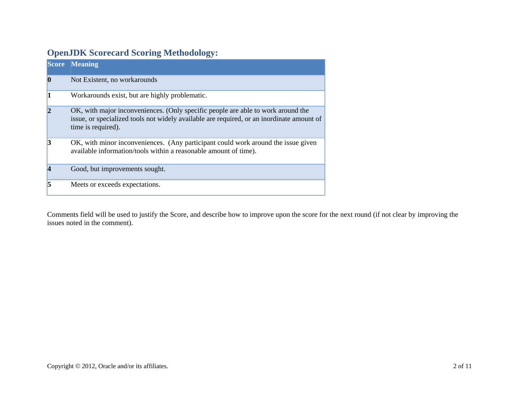# **OpenJDK Scorecard Scoring Methodology:**

|                | <b>Score Meaning</b>                                                                                                                                                                                |
|----------------|-----------------------------------------------------------------------------------------------------------------------------------------------------------------------------------------------------|
| $\bf{0}$       | Not Existent, no workarounds                                                                                                                                                                        |
|                | Workarounds exist, but are highly problematic.                                                                                                                                                      |
| $\overline{2}$ | OK, with major inconveniences. (Only specific people are able to work around the<br>issue, or specialized tools not widely available are required, or an inordinate amount of<br>time is required). |
| 13             | OK, with minor inconveniences. (Any participant could work around the issue given<br>available information/tools within a reasonable amount of time).                                               |
|                | Good, but improvements sought.                                                                                                                                                                      |
| k              | Meets or exceeds expectations.                                                                                                                                                                      |

Comments field will be used to justify the Score, and describe how to improve upon the score for the next round (if not clear by improving the issues noted in the comment).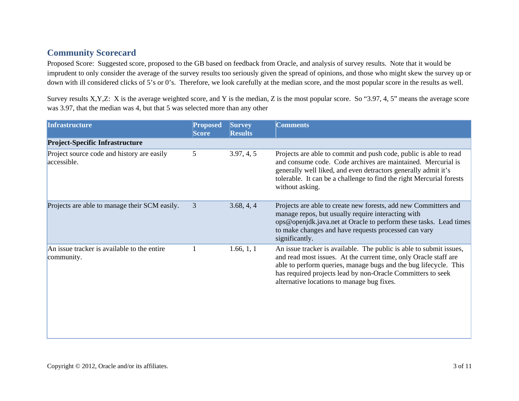## **Community Scorecard**

Proposed Score: Suggested score, proposed to the GB based on feedback from Oracle, and analysis of survey results. Note that it would be imprudent to only consider the average of the survey results too seriously given the spread of opinions, and those who might skew the survey up or down with ill considered clicks of 5's or 0's. Therefore, we look carefully at the median score, and the most popular score in the results as well.

Survey results X,Y,Z: X is the average weighted score, and Y is the median, Z is the most popular score. So "3.97, 4, 5" means the average score was 3.97, that the median was 4, but that 5 was selected more than any other

| <b>Infrastructure</b>                                     | <b>Proposed</b><br><b>Score</b> | <b>Survey</b><br><b>Results</b> | <b>Comments</b>                                                                                                                                                                                                                                                                                                          |
|-----------------------------------------------------------|---------------------------------|---------------------------------|--------------------------------------------------------------------------------------------------------------------------------------------------------------------------------------------------------------------------------------------------------------------------------------------------------------------------|
| <b>Project-Specific Infrastructure</b>                    |                                 |                                 |                                                                                                                                                                                                                                                                                                                          |
| Project source code and history are easily<br>accessible. | 5                               | 3.97, 4, 5                      | Projects are able to commit and push code, public is able to read<br>and consume code. Code archives are maintained. Mercurial is<br>generally well liked, and even detractors generally admit it's<br>tolerable. It can be a challenge to find the right Mercurial forests<br>without asking.                           |
| Projects are able to manage their SCM easily.             | $\overline{3}$                  | 3.68, 4, 4                      | Projects are able to create new forests, add new Committers and<br>manage repos, but usually require interacting with<br>ops@openjdk.java.net at Oracle to perform these tasks. Lead times<br>to make changes and have requests processed can vary<br>significantly.                                                     |
| An issue tracker is available to the entire<br>community. |                                 | 1.66, 1, 1                      | An issue tracker is available. The public is able to submit issues,<br>and read most issues. At the current time, only Oracle staff are<br>able to perform queries, manage bugs and the bug lifecycle. This<br>has required projects lead by non-Oracle Committers to seek<br>alternative locations to manage bug fixes. |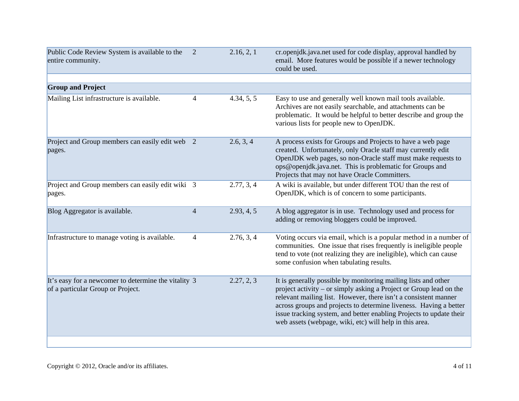| Public Code Review System is available to the<br>entire community.                        | 2              | 2.16, 2, 1 | cr.openjdk.java.net used for code display, approval handled by<br>email. More features would be possible if a newer technology<br>could be used.                                                                                                                                                                                                                                                               |
|-------------------------------------------------------------------------------------------|----------------|------------|----------------------------------------------------------------------------------------------------------------------------------------------------------------------------------------------------------------------------------------------------------------------------------------------------------------------------------------------------------------------------------------------------------------|
|                                                                                           |                |            |                                                                                                                                                                                                                                                                                                                                                                                                                |
| <b>Group and Project</b>                                                                  |                |            |                                                                                                                                                                                                                                                                                                                                                                                                                |
| Mailing List infrastructure is available.                                                 | 4              | 4.34, 5, 5 | Easy to use and generally well known mail tools available.<br>Archives are not easily searchable, and attachments can be<br>problematic. It would be helpful to better describe and group the<br>various lists for people new to OpenJDK.                                                                                                                                                                      |
| Project and Group members can easily edit web 2<br>pages.                                 |                | 2.6, 3, 4  | A process exists for Groups and Projects to have a web page<br>created. Unfortunately, only Oracle staff may currently edit<br>OpenJDK web pages, so non-Oracle staff must make requests to<br>ops@openjdk.java.net. This is problematic for Groups and<br>Projects that may not have Oracle Committers.                                                                                                       |
| Project and Group members can easily edit wiki 3<br>pages.                                |                | 2.77, 3, 4 | A wiki is available, but under different TOU than the rest of<br>OpenJDK, which is of concern to some participants.                                                                                                                                                                                                                                                                                            |
| Blog Aggregator is available.                                                             | $\overline{4}$ | 2.93, 4, 5 | A blog aggregator is in use. Technology used and process for<br>adding or removing bloggers could be improved.                                                                                                                                                                                                                                                                                                 |
| Infrastructure to manage voting is available.                                             | 4              | 2.76, 3, 4 | Voting occurs via email, which is a popular method in a number of<br>communities. One issue that rises frequently is ineligible people<br>tend to vote (not realizing they are ineligible), which can cause<br>some confusion when tabulating results.                                                                                                                                                         |
| It's easy for a newcomer to determine the vitality 3<br>of a particular Group or Project. |                | 2.27, 2, 3 | It is generally possible by monitoring mailing lists and other<br>project activity – or simply asking a Project or Group lead on the<br>relevant mailing list. However, there isn't a consistent manner<br>across groups and projects to determine liveness. Having a better<br>issue tracking system, and better enabling Projects to update their<br>web assets (webpage, wiki, etc) will help in this area. |
|                                                                                           |                |            |                                                                                                                                                                                                                                                                                                                                                                                                                |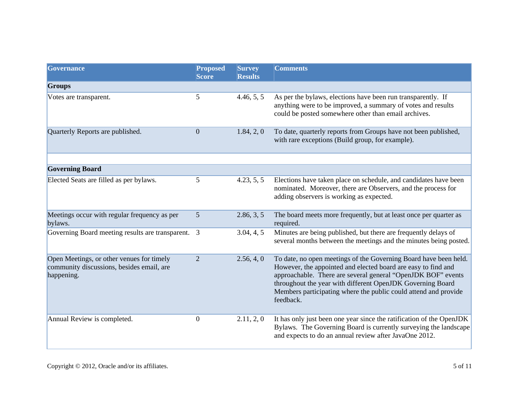| Governance                                                                                           | <b>Proposed</b><br><b>Score</b> | <b>Survey</b><br><b>Results</b> | <b>Comments</b>                                                                                                                                                                                                                                                                                                                                 |  |
|------------------------------------------------------------------------------------------------------|---------------------------------|---------------------------------|-------------------------------------------------------------------------------------------------------------------------------------------------------------------------------------------------------------------------------------------------------------------------------------------------------------------------------------------------|--|
| <b>Groups</b>                                                                                        |                                 |                                 |                                                                                                                                                                                                                                                                                                                                                 |  |
| Votes are transparent.                                                                               | 5                               | 4.46, 5, 5                      | As per the bylaws, elections have been run transparently. If<br>anything were to be improved, a summary of votes and results<br>could be posted somewhere other than email archives.                                                                                                                                                            |  |
| Quarterly Reports are published.                                                                     | $\overline{0}$                  | 1.84, 2, 0                      | To date, quarterly reports from Groups have not been published,<br>with rare exceptions (Build group, for example).                                                                                                                                                                                                                             |  |
|                                                                                                      |                                 |                                 |                                                                                                                                                                                                                                                                                                                                                 |  |
| <b>Governing Board</b>                                                                               |                                 |                                 |                                                                                                                                                                                                                                                                                                                                                 |  |
| Elected Seats are filled as per bylaws.                                                              | 5                               | 4.23, 5, 5                      | Elections have taken place on schedule, and candidates have been<br>nominated. Moreover, there are Observers, and the process for<br>adding observers is working as expected.                                                                                                                                                                   |  |
| Meetings occur with regular frequency as per<br>bylaws.                                              | 5                               | 2.86, 3, 5                      | The board meets more frequently, but at least once per quarter as<br>required.                                                                                                                                                                                                                                                                  |  |
| Governing Board meeting results are transparent. 3                                                   |                                 | 3.04, 4, 5                      | Minutes are being published, but there are frequently delays of<br>several months between the meetings and the minutes being posted.                                                                                                                                                                                                            |  |
| Open Meetings, or other venues for timely<br>community discussions, besides email, are<br>happening. | $\overline{2}$                  | 2.56, 4, 0                      | To date, no open meetings of the Governing Board have been held.<br>However, the appointed and elected board are easy to find and<br>approachable. There are several general "OpenJDK BOF" events<br>throughout the year with different OpenJDK Governing Board<br>Members participating where the public could attend and provide<br>feedback. |  |
| Annual Review is completed.                                                                          | $\mathbf{0}$                    | 2.11, 2, 0                      | It has only just been one year since the ratification of the OpenJDK<br>Bylaws. The Governing Board is currently surveying the landscape<br>and expects to do an annual review after JavaOne 2012.                                                                                                                                              |  |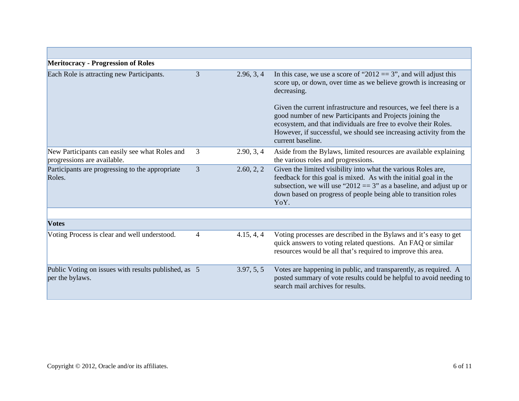| <b>Meritocracy - Progression of Roles</b>                                     |   |            |                                                                                                                                                                                                                                                                                                                                                                                                                                                          |
|-------------------------------------------------------------------------------|---|------------|----------------------------------------------------------------------------------------------------------------------------------------------------------------------------------------------------------------------------------------------------------------------------------------------------------------------------------------------------------------------------------------------------------------------------------------------------------|
| Each Role is attracting new Participants.                                     | 3 | 2.96, 3, 4 | In this case, we use a score of "2012 = $3$ ", and will adjust this<br>score up, or down, over time as we believe growth is increasing or<br>decreasing.<br>Given the current infrastructure and resources, we feel there is a<br>good number of new Participants and Projects joining the<br>ecosystem, and that individuals are free to evolve their Roles.<br>However, if successful, we should see increasing activity from the<br>current baseline. |
| New Participants can easily see what Roles and<br>progressions are available. | 3 | 2.90, 3, 4 | Aside from the Bylaws, limited resources are available explaining<br>the various roles and progressions.                                                                                                                                                                                                                                                                                                                                                 |
| Participants are progressing to the appropriate<br>Roles.                     | 3 | 2.60, 2, 2 | Given the limited visibility into what the various Roles are,<br>feedback for this goal is mixed. As with the initial goal in the<br>subsection, we will use "2012 = $3$ " as a baseline, and adjust up or<br>down based on progress of people being able to transition roles<br>YoY.                                                                                                                                                                    |
|                                                                               |   |            |                                                                                                                                                                                                                                                                                                                                                                                                                                                          |
| <b>Votes</b>                                                                  |   |            |                                                                                                                                                                                                                                                                                                                                                                                                                                                          |
| Voting Process is clear and well understood.                                  | 4 | 4.15, 4, 4 | Voting processes are described in the Bylaws and it's easy to get<br>quick answers to voting related questions. An FAQ or similar<br>resources would be all that's required to improve this area.                                                                                                                                                                                                                                                        |
| Public Voting on issues with results published, as 5<br>per the bylaws.       |   | 3.97, 5, 5 | Votes are happening in public, and transparently, as required. A<br>posted summary of vote results could be helpful to avoid needing to<br>search mail archives for results.                                                                                                                                                                                                                                                                             |

г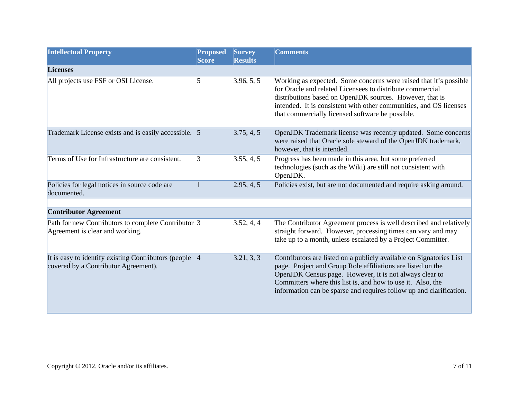| <b>Intellectual Property</b>                                                                   | <b>Proposed</b><br><b>Score</b> | <b>Survey</b><br><b>Results</b> | <b>Comments</b>                                                                                                                                                                                                                                                                                                                     |
|------------------------------------------------------------------------------------------------|---------------------------------|---------------------------------|-------------------------------------------------------------------------------------------------------------------------------------------------------------------------------------------------------------------------------------------------------------------------------------------------------------------------------------|
| <b>Licenses</b>                                                                                |                                 |                                 |                                                                                                                                                                                                                                                                                                                                     |
| All projects use FSF or OSI License.                                                           | 5                               | 3.96, 5, 5                      | Working as expected. Some concerns were raised that it's possible<br>for Oracle and related Licensees to distribute commercial<br>distributions based on OpenJDK sources. However, that is<br>intended. It is consistent with other communities, and OS licenses<br>that commercially licensed software be possible.                |
| Trademark License exists and is easily accessible. 5                                           |                                 | 3.75, 4, 5                      | OpenJDK Trademark license was recently updated. Some concerns<br>were raised that Oracle sole steward of the OpenJDK trademark,<br>however, that is intended.                                                                                                                                                                       |
| Terms of Use for Infrastructure are consistent.                                                | 3                               | 3.55, 4, 5                      | Progress has been made in this area, but some preferred<br>technologies (such as the Wiki) are still not consistent with<br>OpenJDK.                                                                                                                                                                                                |
| Policies for legal notices in source code are<br>documented.                                   |                                 | 2.95, 4, 5                      | Policies exist, but are not documented and require asking around.                                                                                                                                                                                                                                                                   |
| <b>Contributor Agreement</b>                                                                   |                                 |                                 |                                                                                                                                                                                                                                                                                                                                     |
|                                                                                                |                                 |                                 |                                                                                                                                                                                                                                                                                                                                     |
| Path for new Contributors to complete Contributor 3<br>Agreement is clear and working.         |                                 | 3.52, 4, 4                      | The Contributor Agreement process is well described and relatively<br>straight forward. However, processing times can vary and may<br>take up to a month, unless escalated by a Project Committer.                                                                                                                                  |
| It is easy to identify existing Contributors (people 4<br>covered by a Contributor Agreement). |                                 | 3.21, 3, 3                      | Contributors are listed on a publicly available on Signatories List<br>page. Project and Group Role affiliations are listed on the<br>OpenJDK Census page. However, it is not always clear to<br>Committers where this list is, and how to use it. Also, the<br>information can be sparse and requires follow up and clarification. |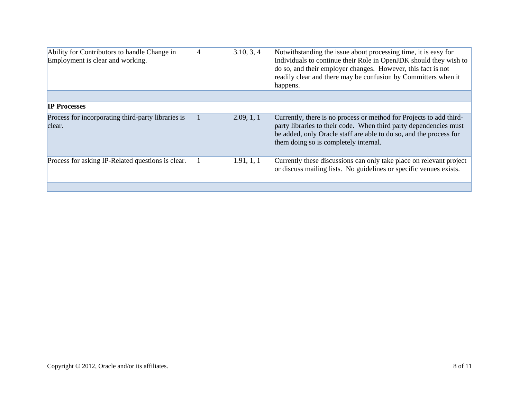| Ability for Contributors to handle Change in<br>Employment is clear and working. | $\overline{4}$ | 3.10, 3, 4 | Notwithstanding the issue about processing time, it is easy for<br>Individuals to continue their Role in OpenJDK should they wish to<br>do so, and their employer changes. However, this fact is not<br>readily clear and there may be confusion by Committers when it<br>happens. |
|----------------------------------------------------------------------------------|----------------|------------|------------------------------------------------------------------------------------------------------------------------------------------------------------------------------------------------------------------------------------------------------------------------------------|
|                                                                                  |                |            |                                                                                                                                                                                                                                                                                    |
| <b>IP Processes</b>                                                              |                |            |                                                                                                                                                                                                                                                                                    |
| Process for incorporating third-party libraries is<br>clear.                     |                | 2.09, 1, 1 | Currently, there is no process or method for Projects to add third-<br>party libraries to their code. When third party dependencies must<br>be added, only Oracle staff are able to do so, and the process for<br>them doing so is completely internal.                            |
| Process for asking IP-Related questions is clear.                                |                | 1.91, 1, 1 | Currently these discussions can only take place on relevant project<br>or discuss mailing lists. No guidelines or specific venues exists.                                                                                                                                          |
|                                                                                  |                |            |                                                                                                                                                                                                                                                                                    |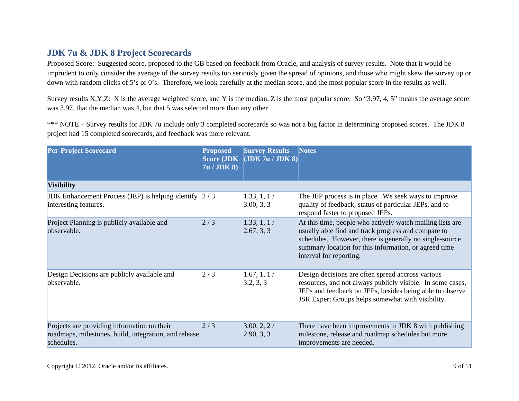## **JDK 7u & JDK 8 Project Scorecards**

Proposed Score: Suggested score, proposed to the GB based on feedback from Oracle, and analysis of survey results. Note that it would be imprudent to only consider the average of the survey results too seriously given the spread of opinions, and those who might skew the survey up or down with random clicks of 5's or 0's. Therefore, we look carefully at the median score, and the most popular score in the results as well.

Survey results X,Y,Z: X is the average weighted score, and Y is the median, Z is the most popular score. So "3.97, 4, 5" means the average score was 3.97, that the median was 4, but that 5 was selected more than any other

\*\*\* NOTE – Survey results for JDK 7u include only 3 completed scorecards so was not a big factor in determining proposed scores. The JDK 8 project had 15 completed scorecards, and feedback was more relevant.

| <b>Per-Project Scorecard</b>                                                                                       | <b>Proposed</b><br><b>Score (JDK)</b><br>7u / JDK 8 | <b>Survey Results</b><br>  <b>JDK</b> 7u / <b>JDK</b> 8 | <b>Notes</b>                                                                                                                                                                                                                                                    |
|--------------------------------------------------------------------------------------------------------------------|-----------------------------------------------------|---------------------------------------------------------|-----------------------------------------------------------------------------------------------------------------------------------------------------------------------------------------------------------------------------------------------------------------|
| <b>Visibility</b>                                                                                                  |                                                     |                                                         |                                                                                                                                                                                                                                                                 |
| JDK Enhancement Process (JEP) is helping identify $2/3$<br>interesting features.                                   |                                                     | 1.33, 1, 1/<br>3.00, 3, 3                               | The JEP process is in place. We seek ways to improve<br>quality of feedback, status of particular JEPs, and to<br>respond faster to proposed JEPs.                                                                                                              |
| Project Planning is publicly available and<br>observable.                                                          | 2/3                                                 | 1.33, 1, 1/<br>2.67, 3, 3                               | At this time, people who actively watch mailing lists are<br>usually able find and track progress and compare to<br>schedules. However, there is generally no single-source<br>summary location for this information, or agreed time<br>interval for reporting. |
| Design Decisions are publicly available and<br>observable.                                                         | 2/3                                                 | 1.67, 1, 1/<br>3.2, 3, 3                                | Design decisions are often spread accross various<br>resources, and not always publicly visible. In some cases,<br>JEPs and feedback on JEPs, besides being able to observe<br>JSR Expert Groups helps somewhat with visibility.                                |
| Projects are providing information on their<br>roadmaps, milestones, build, integration, and release<br>schedules. | 2/3                                                 | 3.00, 2, 2/<br>2.90, 3, 3                               | There have been improvements in JDK 8 with publishing<br>milestone, release and roadmap schedules but more<br>improvements are needed.                                                                                                                          |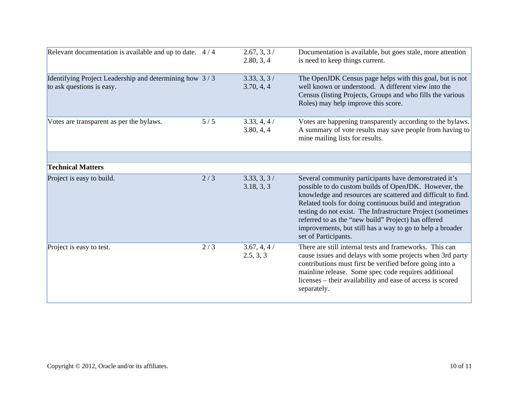| Relevant documentation is available and up to date. 4/4                             |     | 2.67, 3, 3/<br>2.80, 3, 4 | Documentation is available, but goes stale, more attention<br>is need to keep things current.                                                                                                                                                                                                                                                                                                                                                         |
|-------------------------------------------------------------------------------------|-----|---------------------------|-------------------------------------------------------------------------------------------------------------------------------------------------------------------------------------------------------------------------------------------------------------------------------------------------------------------------------------------------------------------------------------------------------------------------------------------------------|
| Identifying Project Leadership and determining how 3/3<br>to ask questions is easy. |     | 3.33, 3, 3/<br>3.70, 4, 4 | The OpenJDK Census page helps with this goal, but is not<br>well known or understood. A different view into the<br>Census (listing Projects, Groups and who fills the various<br>Roles) may help improve this score.                                                                                                                                                                                                                                  |
| Votes are transparent as per the bylaws.                                            | 5/5 | 3.33, 4, 4/<br>3.80, 4, 4 | Votes are happening transparently according to the bylaws.<br>A summary of vote results may save people from having to<br>mine mailing lists for results.                                                                                                                                                                                                                                                                                             |
| <b>Technical Matters</b>                                                            |     |                           |                                                                                                                                                                                                                                                                                                                                                                                                                                                       |
|                                                                                     |     |                           |                                                                                                                                                                                                                                                                                                                                                                                                                                                       |
| Project is easy to build.                                                           | 2/3 | 3.33, 3, 3/<br>3.18, 3, 3 | Several community participants have demonstrated it's<br>possible to do custom builds of OpenJDK. However, the<br>knowledge and resources are scattered and difficult to find.<br>Related tools for doing continuous build and integration<br>testing do not exist. The Infrastructure Project (sometimes<br>referred to as the "new build" Project) has offered<br>improvements, but still has a way to go to help a broader<br>set of Participants. |
| Project is easy to test.                                                            | 2/3 | 3.67, 4, 4/<br>2.5, 3, 3  | There are still internal tests and frameworks. This can<br>cause issues and delays with some projects when 3rd party<br>contributions must first be verified before going into a<br>mainline release. Some spec code requires additional<br>licenses – their availability and ease of access is scored<br>separately.                                                                                                                                 |